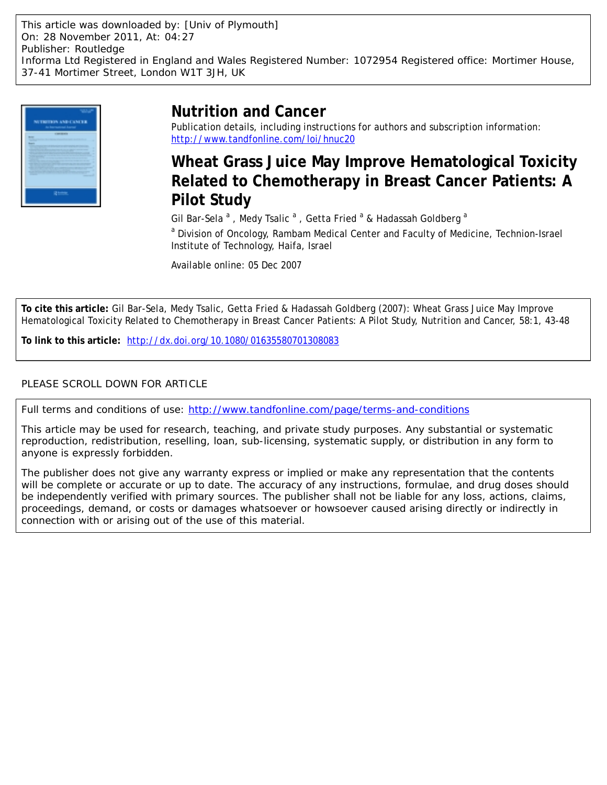

# **Nutrition and Cancer**

Publication details, including instructions for authors and subscription information: <http://www.tandfonline.com/loi/hnuc20>

**Wheat Grass Juice May Improve Hematological Toxicity Related to Chemotherapy in Breast Cancer Patients: A Pilot Study**

Gil Bar-Sela<sup>a</sup>, Medy Tsalic<sup>a</sup>, Getta Fried<sup>a</sup> & Hadassah Goldberg<sup>a</sup>

<sup>a</sup> Division of Oncology, Rambam Medical Center and Faculty of Medicine, Technion-Israel Institute of Technology, Haifa, Israel

Available online: 05 Dec 2007

**To cite this article:** Gil Bar-Sela, Medy Tsalic, Getta Fried & Hadassah Goldberg (2007): Wheat Grass Juice May Improve Hematological Toxicity Related to Chemotherapy in Breast Cancer Patients: A Pilot Study, Nutrition and Cancer, 58:1, 43-48

**To link to this article:** <http://dx.doi.org/10.1080/01635580701308083>

## PLEASE SCROLL DOWN FOR ARTICLE

Full terms and conditions of use:<http://www.tandfonline.com/page/terms-and-conditions>

This article may be used for research, teaching, and private study purposes. Any substantial or systematic reproduction, redistribution, reselling, loan, sub-licensing, systematic supply, or distribution in any form to anyone is expressly forbidden.

The publisher does not give any warranty express or implied or make any representation that the contents will be complete or accurate or up to date. The accuracy of any instructions, formulae, and drug doses should be independently verified with primary sources. The publisher shall not be liable for any loss, actions, claims, proceedings, demand, or costs or damages whatsoever or howsoever caused arising directly or indirectly in connection with or arising out of the use of this material.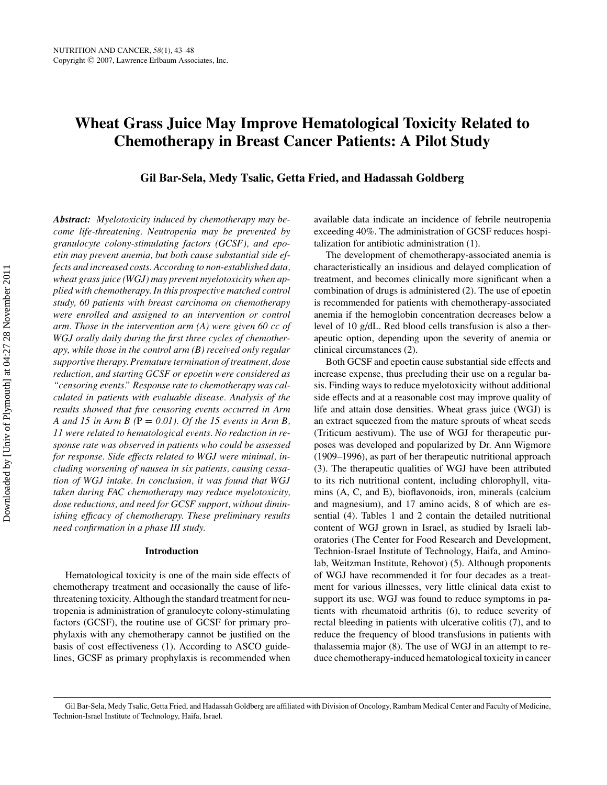## **Wheat Grass Juice May Improve Hematological Toxicity Related to Chemotherapy in Breast Cancer Patients: A Pilot Study**

**Gil Bar-Sela, Medy Tsalic, Getta Fried, and Hadassah Goldberg**

*Abstract: Myelotoxicity induced by chemotherapy may become life-threatening. Neutropenia may be prevented by granulocyte colony-stimulating factors (GCSF), and epoetin may prevent anemia, but both cause substantial side effects and increased costs. According to non-established data, wheat grass juice (WGJ) may prevent myelotoxicity when applied with chemotherapy. In this prospective matched control study, 60 patients with breast carcinoma on chemotherapy were enrolled and assigned to an intervention or control arm. Those in the intervention arm (A) were given 60 cc of WGJ orally daily during the first three cycles of chemotherapy, while those in the control arm (B) received only regular supportive therapy. Premature termination of treatment, dose reduction, and starting GCSF or epoetin were considered as "censoring events." Response rate to chemotherapy was calculated in patients with evaluable disease. Analysis of the results showed that five censoring events occurred in Arm A and 15 in Arm B (*P = *0.01). Of the 15 events in Arm B, 11 were related to hematological events. No reduction in response rate was observed in patients who could be assessed for response. Side effects related to WGJ were minimal, including worsening of nausea in six patients, causing cessation of WGJ intake. In conclusion, it was found that WGJ taken during FAC chemotherapy may reduce myelotoxicity, dose reductions, and need for GCSF support, without diminishing efficacy of chemotherapy. These preliminary results need confirmation in a phase III study.*

## **Introduction**

Hematological toxicity is one of the main side effects of chemotherapy treatment and occasionally the cause of lifethreatening toxicity. Although the standard treatment for neutropenia is administration of granulocyte colony-stimulating factors (GCSF), the routine use of GCSF for primary prophylaxis with any chemotherapy cannot be justified on the basis of cost effectiveness (1). According to ASCO guidelines, GCSF as primary prophylaxis is recommended when available data indicate an incidence of febrile neutropenia exceeding 40%. The administration of GCSF reduces hospitalization for antibiotic administration (1).

The development of chemotherapy-associated anemia is characteristically an insidious and delayed complication of treatment, and becomes clinically more significant when a combination of drugs is administered (2). The use of epoetin is recommended for patients with chemotherapy-associated anemia if the hemoglobin concentration decreases below a level of 10 g/dL. Red blood cells transfusion is also a therapeutic option, depending upon the severity of anemia or clinical circumstances (2).

Both GCSF and epoetin cause substantial side effects and increase expense, thus precluding their use on a regular basis. Finding ways to reduce myelotoxicity without additional side effects and at a reasonable cost may improve quality of life and attain dose densities. Wheat grass juice (WGJ) is an extract squeezed from the mature sprouts of wheat seeds (Triticum aestivum). The use of WGJ for therapeutic purposes was developed and popularized by Dr. Ann Wigmore (1909–1996), as part of her therapeutic nutritional approach (3). The therapeutic qualities of WGJ have been attributed to its rich nutritional content, including chlorophyll, vitamins (A, C, and E), bioflavonoids, iron, minerals (calcium and magnesium), and 17 amino acids, 8 of which are essential (4). Tables 1 and 2 contain the detailed nutritional content of WGJ grown in Israel, as studied by Israeli laboratories (The Center for Food Research and Development, Technion-Israel Institute of Technology, Haifa, and Aminolab, Weitzman Institute, Rehovot) (5). Although proponents of WGJ have recommended it for four decades as a treatment for various illnesses, very little clinical data exist to support its use. WGJ was found to reduce symptoms in patients with rheumatoid arthritis (6), to reduce severity of rectal bleeding in patients with ulcerative colitis (7), and to reduce the frequency of blood transfusions in patients with thalassemia major (8). The use of WGJ in an attempt to reduce chemotherapy-induced hematological toxicity in cancer

Gil Bar-Sela, Medy Tsalic, Getta Fried, and Hadassah Goldberg are affiliated with Division of Oncology, Rambam Medical Center and Faculty of Medicine, Technion-Israel Institute of Technology, Haifa, Israel.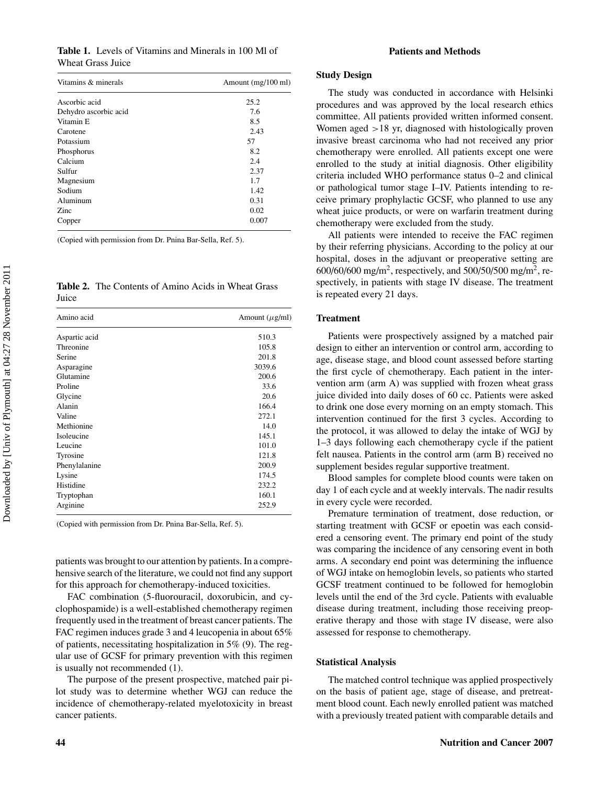**Table 1.** Levels of Vitamins and Minerals in 100 Ml of Wheat Grass Juice

| Vitamins & minerals   | Amount (mg/100 ml) |  |
|-----------------------|--------------------|--|
| Ascorbic acid         | 25.2               |  |
| Dehydro ascorbic acid | 7.6                |  |
| Vitamin E             | 8.5                |  |
| Carotene              | 2.43               |  |
| Potassium             | 57                 |  |
| Phosphorus            | 8.2                |  |
| Calcium               | 2.4                |  |
| Sulfur                | 2.37               |  |
| Magnesium             | 1.7                |  |
| Sodium                | 1.42               |  |
| Aluminum              | 0.31               |  |
| Zinc                  | 0.02               |  |
| Copper                | 0.007              |  |

(Copied with permission from Dr. Pnina Bar-Sella, Ref. 5).

|       | <b>Table 2.</b> The Contents of Amino Acids in Wheat Grass |  |
|-------|------------------------------------------------------------|--|
| Juice |                                                            |  |

| Amino acid    | Amount $(\mu g/ml)$ |
|---------------|---------------------|
| Aspartic acid | 510.3               |
| Threonine     | 105.8               |
| Serine        | 201.8               |
| Asparagine    | 3039.6              |
| Glutamine     | 200.6               |
| Proline       | 33.6                |
| Glycine       | 20.6                |
| Alanin        | 166.4               |
| Valine        | 272.1               |
| Methionine    | 14.0                |
| Isoleucine    | 145.1               |
| Leucine       | 101.0               |
| Tyrosine      | 121.8               |
| Phenylalanine | 200.9               |
| Lysine        | 174.5               |
| Histidine     | 232.2               |
| Tryptophan    | 160.1               |
| Arginine      | 252.9               |
|               |                     |

(Copied with permission from Dr. Pnina Bar-Sella, Ref. 5).

patients was brought to our attention by patients. In a comprehensive search of the literature, we could not find any support for this approach for chemotherapy-induced toxicities.

FAC combination (5-fluorouracil, doxorubicin, and cyclophospamide) is a well-established chemotherapy regimen frequently used in the treatment of breast cancer patients. The FAC regimen induces grade 3 and 4 leucopenia in about 65% of patients, necessitating hospitalization in 5% (9). The regular use of GCSF for primary prevention with this regimen is usually not recommended (1).

The purpose of the present prospective, matched pair pilot study was to determine whether WGJ can reduce the incidence of chemotherapy-related myelotoxicity in breast cancer patients.

## **Patients and Methods**

### **Study Design**

The study was conducted in accordance with Helsinki procedures and was approved by the local research ethics committee. All patients provided written informed consent. Women aged *>*18 yr, diagnosed with histologically proven invasive breast carcinoma who had not received any prior chemotherapy were enrolled. All patients except one were enrolled to the study at initial diagnosis. Other eligibility criteria included WHO performance status 0–2 and clinical or pathological tumor stage I–IV. Patients intending to receive primary prophylactic GCSF, who planned to use any wheat juice products, or were on warfarin treatment during chemotherapy were excluded from the study.

All patients were intended to receive the FAC regimen by their referring physicians. According to the policy at our hospital, doses in the adjuvant or preoperative setting are 600/60/600 mg/m<sup>2</sup>, respectively, and 500/50/500 mg/m<sup>2</sup>, respectively, in patients with stage IV disease. The treatment is repeated every 21 days.

## **Treatment**

Patients were prospectively assigned by a matched pair design to either an intervention or control arm, according to age, disease stage, and blood count assessed before starting the first cycle of chemotherapy. Each patient in the intervention arm (arm A) was supplied with frozen wheat grass juice divided into daily doses of 60 cc. Patients were asked to drink one dose every morning on an empty stomach. This intervention continued for the first 3 cycles. According to the protocol, it was allowed to delay the intake of WGJ by 1–3 days following each chemotherapy cycle if the patient felt nausea. Patients in the control arm (arm B) received no supplement besides regular supportive treatment.

Blood samples for complete blood counts were taken on day 1 of each cycle and at weekly intervals. The nadir results in every cycle were recorded.

Premature termination of treatment, dose reduction, or starting treatment with GCSF or epoetin was each considered a censoring event. The primary end point of the study was comparing the incidence of any censoring event in both arms. A secondary end point was determining the influence of WGJ intake on hemoglobin levels, so patients who started GCSF treatment continued to be followed for hemoglobin levels until the end of the 3rd cycle. Patients with evaluable disease during treatment, including those receiving preoperative therapy and those with stage IV disease, were also assessed for response to chemotherapy.

## **Statistical Analysis**

The matched control technique was applied prospectively on the basis of patient age, stage of disease, and pretreatment blood count. Each newly enrolled patient was matched with a previously treated patient with comparable details and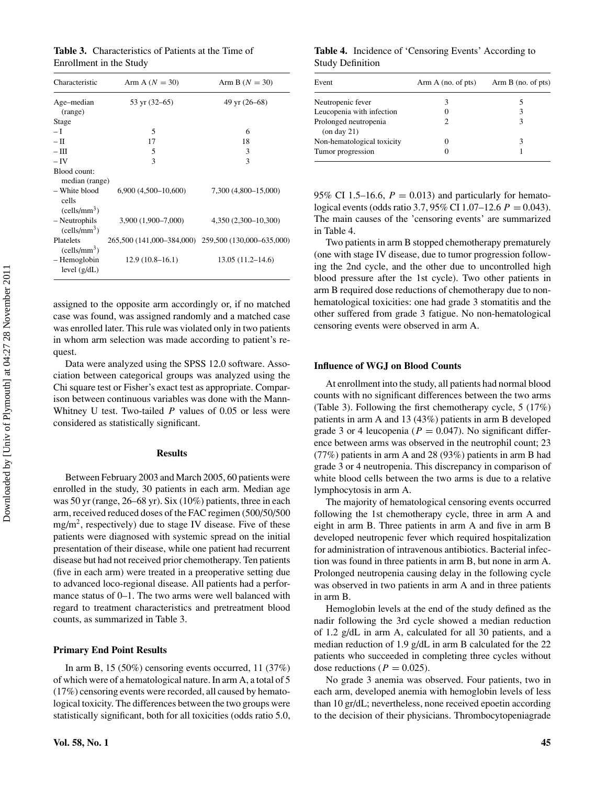**Table 3.** Characteristics of Patients at the Time of Enrollment in the Study

| Characteristic                                                                       | Arm A $(N = 30)$      | Arm B $(N = 30)$                                    |
|--------------------------------------------------------------------------------------|-----------------------|-----------------------------------------------------|
| Age-median<br>(range)                                                                | 53 yr $(32-65)$       | 49 yr $(26-68)$                                     |
| Stage                                                                                |                       |                                                     |
| – I                                                                                  | 5                     | 6                                                   |
| $-\Pi$                                                                               | 17                    | 18                                                  |
| $-III$                                                                               | 5                     | 3                                                   |
| $-IV$                                                                                | 3                     | 3                                                   |
| Blood count:<br>median (range)<br>- White blood<br>cells<br>(cells/mm <sup>3</sup> ) | $6,900(4,500-10,600)$ | 7,300 (4,800-15,000)                                |
| - Neutrophils<br>(cells/mm <sup>3</sup> )                                            | 3,900 (1,900–7,000)   | $4,350(2,300-10,300)$                               |
| Platelets<br>(cells/mm <sup>3</sup> )                                                |                       | 265,500 (141,000-384,000) 259,500 (130,000-635,000) |
| - Hemoglobin<br>level $(g/dL)$                                                       | 12.9(10.8–16.1)       | $13.05(11.2 - 14.6)$                                |

assigned to the opposite arm accordingly or, if no matched case was found, was assigned randomly and a matched case was enrolled later. This rule was violated only in two patients in whom arm selection was made according to patient's request.

Data were analyzed using the SPSS 12.0 software. Association between categorical groups was analyzed using the Chi square test or Fisher's exact test as appropriate. Comparison between continuous variables was done with the Mann-Whitney U test. Two-tailed *P* values of 0.05 or less were considered as statistically significant.

#### **Results**

Between February 2003 and March 2005, 60 patients were enrolled in the study, 30 patients in each arm. Median age was 50 yr (range, 26–68 yr). Six (10%) patients, three in each arm, received reduced doses of the FAC regimen (500/50/500  $mg/m<sup>2</sup>$ , respectively) due to stage IV disease. Five of these patients were diagnosed with systemic spread on the initial presentation of their disease, while one patient had recurrent disease but had not received prior chemotherapy. Ten patients (five in each arm) were treated in a preoperative setting due to advanced loco-regional disease. All patients had a performance status of 0–1. The two arms were well balanced with regard to treatment characteristics and pretreatment blood counts, as summarized in Table 3.

#### **Primary End Point Results**

In arm B, 15 (50%) censoring events occurred, 11 (37%) of which were of a hematological nature. In arm A, a total of 5 (17%) censoring events were recorded, all caused by hematological toxicity. The differences between the two groups were statistically significant, both for all toxicities (odds ratio 5.0,

**Table 4.** Incidence of 'Censoring Events' According to Study Definition

| Event                                      | Arm A (no. of pts) | Arm $B$ (no. of pts) |
|--------------------------------------------|--------------------|----------------------|
| Neutropenic fever                          |                    |                      |
| Leucopenia with infection                  |                    |                      |
| Prolonged neutropenia<br>$($ on day 21 $)$ |                    |                      |
| Non-hematological toxicity                 |                    |                      |
| Tumor progression                          |                    |                      |

95% CI 1.5–16.6,  $P = 0.013$ ) and particularly for hematological events (odds ratio 3.7, 95% CI 1.07–12.6 *P* = 0.043). The main causes of the 'censoring events' are summarized in Table 4.

Two patients in arm B stopped chemotherapy prematurely (one with stage IV disease, due to tumor progression following the 2nd cycle, and the other due to uncontrolled high blood pressure after the 1st cycle). Two other patients in arm B required dose reductions of chemotherapy due to nonhematological toxicities: one had grade 3 stomatitis and the other suffered from grade 3 fatigue. No non-hematological censoring events were observed in arm A.

## **Influence of WGJ on Blood Counts**

At enrollment into the study, all patients had normal blood counts with no significant differences between the two arms (Table 3). Following the first chemotherapy cycle, 5 (17%) patients in arm A and 13 (43%) patients in arm B developed grade 3 or 4 leucopenia ( $P = 0.047$ ). No significant difference between arms was observed in the neutrophil count; 23 (77%) patients in arm A and 28 (93%) patients in arm B had grade 3 or 4 neutropenia. This discrepancy in comparison of white blood cells between the two arms is due to a relative lymphocytosis in arm A.

The majority of hematological censoring events occurred following the 1st chemotherapy cycle, three in arm A and eight in arm B. Three patients in arm A and five in arm B developed neutropenic fever which required hospitalization for administration of intravenous antibiotics. Bacterial infection was found in three patients in arm B, but none in arm A. Prolonged neutropenia causing delay in the following cycle was observed in two patients in arm A and in three patients in arm B.

Hemoglobin levels at the end of the study defined as the nadir following the 3rd cycle showed a median reduction of 1.2 g/dL in arm A, calculated for all 30 patients, and a median reduction of 1.9 g/dL in arm B calculated for the 22 patients who succeeded in completing three cycles without dose reductions ( $P = 0.025$ ).

No grade 3 anemia was observed. Four patients, two in each arm, developed anemia with hemoglobin levels of less than 10 gr/dL; nevertheless, none received epoetin according to the decision of their physicians. Thrombocytopeniagrade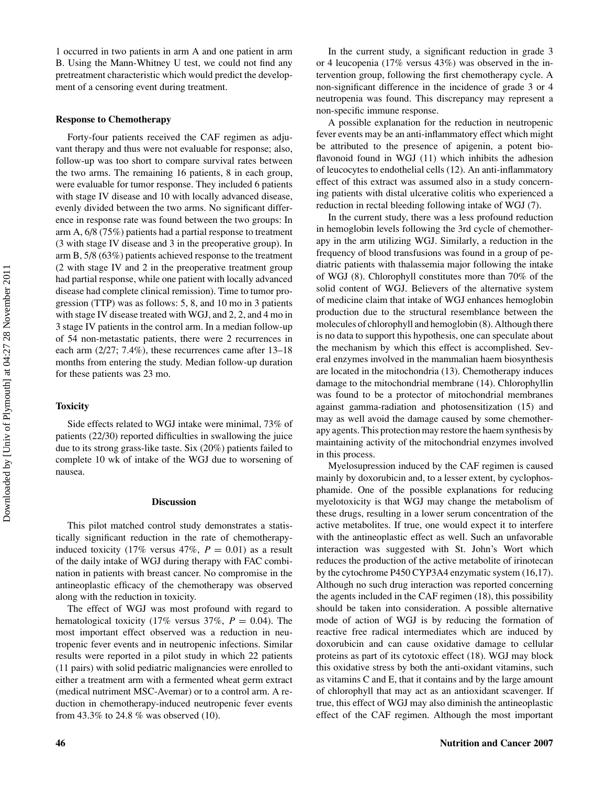1 occurred in two patients in arm A and one patient in arm B. Using the Mann-Whitney U test, we could not find any pretreatment characteristic which would predict the development of a censoring event during treatment.

#### **Response to Chemotherapy**

Forty-four patients received the CAF regimen as adjuvant therapy and thus were not evaluable for response; also, follow-up was too short to compare survival rates between the two arms. The remaining 16 patients, 8 in each group, were evaluable for tumor response. They included 6 patients with stage IV disease and 10 with locally advanced disease, evenly divided between the two arms. No significant difference in response rate was found between the two groups: In arm A, 6/8 (75%) patients had a partial response to treatment (3 with stage IV disease and 3 in the preoperative group). In arm B, 5/8 (63%) patients achieved response to the treatment (2 with stage IV and 2 in the preoperative treatment group had partial response, while one patient with locally advanced disease had complete clinical remission). Time to tumor progression (TTP) was as follows: 5, 8, and 10 mo in 3 patients with stage IV disease treated with WGJ, and 2, 2, and 4 mo in 3 stage IV patients in the control arm. In a median follow-up of 54 non-metastatic patients, there were 2 recurrences in each arm (2/27; 7.4%), these recurrences came after 13–18 months from entering the study. Median follow-up duration for these patients was 23 mo.

## **Toxicity**

Side effects related to WGJ intake were minimal, 73% of patients (22/30) reported difficulties in swallowing the juice due to its strong grass-like taste. Six (20%) patients failed to complete 10 wk of intake of the WGJ due to worsening of nausea.

## **Discussion**

This pilot matched control study demonstrates a statistically significant reduction in the rate of chemotherapyinduced toxicity (17% versus 47%,  $P = 0.01$ ) as a result of the daily intake of WGJ during therapy with FAC combination in patients with breast cancer. No compromise in the antineoplastic efficacy of the chemotherapy was observed along with the reduction in toxicity.

The effect of WGJ was most profound with regard to hematological toxicity (17% versus 37%,  $P = 0.04$ ). The most important effect observed was a reduction in neutropenic fever events and in neutropenic infections. Similar results were reported in a pilot study in which 22 patients (11 pairs) with solid pediatric malignancies were enrolled to either a treatment arm with a fermented wheat germ extract (medical nutriment MSC-Avemar) or to a control arm. A reduction in chemotherapy-induced neutropenic fever events from 43.3% to 24.8 % was observed (10).

In the current study, a significant reduction in grade 3 or 4 leucopenia (17% versus 43%) was observed in the intervention group, following the first chemotherapy cycle. A non-significant difference in the incidence of grade 3 or 4 neutropenia was found. This discrepancy may represent a non-specific immune response.

A possible explanation for the reduction in neutropenic fever events may be an anti-inflammatory effect which might be attributed to the presence of apigenin, a potent bioflavonoid found in WGJ (11) which inhibits the adhesion of leucocytes to endothelial cells (12). An anti-inflammatory effect of this extract was assumed also in a study concerning patients with distal ulcerative colitis who experienced a reduction in rectal bleeding following intake of WGJ (7).

In the current study, there was a less profound reduction in hemoglobin levels following the 3rd cycle of chemotherapy in the arm utilizing WGJ. Similarly, a reduction in the frequency of blood transfusions was found in a group of pediatric patients with thalassemia major following the intake of WGJ (8). Chlorophyll constitutes more than 70% of the solid content of WGJ. Believers of the alternative system of medicine claim that intake of WGJ enhances hemoglobin production due to the structural resemblance between the molecules of chlorophyll and hemoglobin (8). Although there is no data to support this hypothesis, one can speculate about the mechanism by which this effect is accomplished. Several enzymes involved in the mammalian haem biosynthesis are located in the mitochondria (13). Chemotherapy induces damage to the mitochondrial membrane (14). Chlorophyllin was found to be a protector of mitochondrial membranes against gamma-radiation and photosensitization (15) and may as well avoid the damage caused by some chemotherapy agents. This protection may restore the haem synthesis by maintaining activity of the mitochondrial enzymes involved in this process.

Myelosupression induced by the CAF regimen is caused mainly by doxorubicin and, to a lesser extent, by cyclophosphamide. One of the possible explanations for reducing myelotoxicity is that WGJ may change the metabolism of these drugs, resulting in a lower serum concentration of the active metabolites. If true, one would expect it to interfere with the antineoplastic effect as well. Such an unfavorable interaction was suggested with St. John's Wort which reduces the production of the active metabolite of irinotecan by the cytochrome P450 CYP3A4 enzymatic system (16,17). Although no such drug interaction was reported concerning the agents included in the CAF regimen (18), this possibility should be taken into consideration. A possible alternative mode of action of WGJ is by reducing the formation of reactive free radical intermediates which are induced by doxorubicin and can cause oxidative damage to cellular proteins as part of its cytotoxic effect (18). WGJ may block this oxidative stress by both the anti-oxidant vitamins, such as vitamins C and E, that it contains and by the large amount of chlorophyll that may act as an antioxidant scavenger. If true, this effect of WGJ may also diminish the antineoplastic effect of the CAF regimen. Although the most important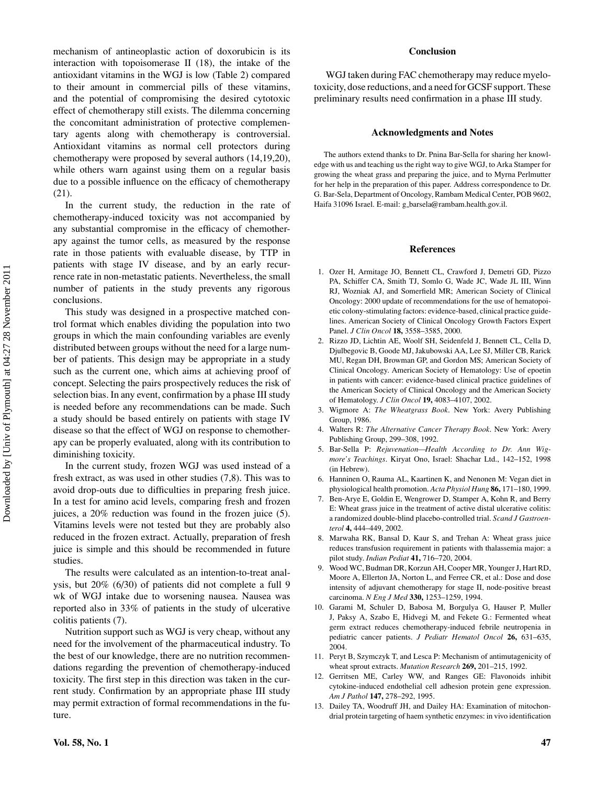mechanism of antineoplastic action of doxorubicin is its interaction with topoisomerase II (18), the intake of the antioxidant vitamins in the WGJ is low (Table 2) compared to their amount in commercial pills of these vitamins, and the potential of compromising the desired cytotoxic effect of chemotherapy still exists. The dilemma concerning the concomitant administration of protective complementary agents along with chemotherapy is controversial. Antioxidant vitamins as normal cell protectors during chemotherapy were proposed by several authors (14,19,20), while others warn against using them on a regular basis due to a possible influence on the efficacy of chemotherapy (21).

In the current study, the reduction in the rate of chemotherapy-induced toxicity was not accompanied by any substantial compromise in the efficacy of chemotherapy against the tumor cells, as measured by the response rate in those patients with evaluable disease, by TTP in patients with stage IV disease, and by an early recurrence rate in non-metastatic patients. Nevertheless, the small number of patients in the study prevents any rigorous conclusions.

This study was designed in a prospective matched control format which enables dividing the population into two groups in which the main confounding variables are evenly distributed between groups without the need for a large number of patients. This design may be appropriate in a study such as the current one, which aims at achieving proof of concept. Selecting the pairs prospectively reduces the risk of selection bias. In any event, confirmation by a phase III study is needed before any recommendations can be made. Such a study should be based entirely on patients with stage IV disease so that the effect of WGJ on response to chemotherapy can be properly evaluated, along with its contribution to diminishing toxicity.

In the current study, frozen WGJ was used instead of a fresh extract, as was used in other studies (7,8). This was to avoid drop-outs due to difficulties in preparing fresh juice. In a test for amino acid levels, comparing fresh and frozen juices, a 20% reduction was found in the frozen juice (5). Vitamins levels were not tested but they are probably also reduced in the frozen extract. Actually, preparation of fresh juice is simple and this should be recommended in future studies.

The results were calculated as an intention-to-treat analysis, but 20% (6/30) of patients did not complete a full 9 wk of WGJ intake due to worsening nausea. Nausea was reported also in 33% of patients in the study of ulcerative colitis patients (7).

Nutrition support such as WGJ is very cheap, without any need for the involvement of the pharmaceutical industry. To the best of our knowledge, there are no nutrition recommendations regarding the prevention of chemotherapy-induced toxicity. The first step in this direction was taken in the current study. Confirmation by an appropriate phase III study may permit extraction of formal recommendations in the future.

### **Conclusion**

WGJ taken during FAC chemotherapy may reduce myelotoxicity, dose reductions, and a need for GCSF support. These preliminary results need confirmation in a phase III study.

#### **Acknowledgments and Notes**

The authors extend thanks to Dr. Pnina Bar-Sella for sharing her knowledge with us and teaching us the right way to give WGJ, to Arka Stamper for growing the wheat grass and preparing the juice, and to Myrna Perlmutter for her help in the preparation of this paper. Address correspondence to Dr. G. Bar-Sela, Department of Oncology, Rambam Medical Center, POB 9602, Haifa 31096 Israel. E-mail: g\_barsela@rambam.health.gov.il.

#### **References**

- 1. Ozer H, Armitage JO, Bennett CL, Crawford J, Demetri GD, Pizzo PA, Schiffer CA, Smith TJ, Somlo G, Wade JC, Wade JL III, Winn RJ, Wozniak AJ, and Somerfield MR; American Society of Clinical Oncology: 2000 update of recommendations for the use of hematopoietic colony-stimulating factors: evidence-based, clinical practice guidelines. American Society of Clinical Oncology Growth Factors Expert Panel. *J Clin Oncol* **18,** 3558–3585, 2000.
- 2. Rizzo JD, Lichtin AE, Woolf SH, Seidenfeld J, Bennett CL, Cella D, Djulbegovic B, Goode MJ, Jakubowski AA, Lee SJ, Miller CB, Rarick MU, Regan DH, Browman GP, and Gordon MS; American Society of Clinical Oncology. American Society of Hematology: Use of epoetin in patients with cancer: evidence-based clinical practice guidelines of the American Society of Clinical Oncology and the American Society of Hematology. *J Clin Oncol* **19,** 4083–4107, 2002.
- 3. Wigmore A: *The Wheatgrass Book*. New York: Avery Publishing Group, 1986.
- 4. Walters R: *The Alternative Cancer Therapy Book*. New York: Avery Publishing Group, 299–308, 1992.
- 5. Bar-Sella P: *Rejuvenation—Health According to Dr. Ann Wigmore's Teachings*. Kiryat Ono, Israel: Shachar Ltd., 142–152, 1998 (in Hebrew).
- 6. Hanninen O, Rauma AL, Kaartinen K, and Nenonen M: Vegan diet in physiological health promotion. *Acta Physiol Hung* **86,** 171–180, 1999.
- 7. Ben-Arye E, Goldin E, Wengrower D, Stamper A, Kohn R, and Berry E: Wheat grass juice in the treatment of active distal ulcerative colitis: a randomized double-blind placebo-controlled trial. *Scand J Gastroenterol* **4,** 444–449, 2002.
- 8. Marwaha RK, Bansal D, Kaur S, and Trehan A: Wheat grass juice reduces transfusion requirement in patients with thalassemia major: a pilot study. *Indian Pediat* **41,** 716–720, 2004.
- 9. Wood WC, Budman DR, Korzun AH, Cooper MR, Younger J, Hart RD, Moore A, Ellerton JA, Norton L, and Ferree CR, et al.: Dose and dose intensity of adjuvant chemotherapy for stage II, node-positive breast carcinoma. *N Eng J Med* **330,** 1253–1259, 1994.
- 10. Garami M, Schuler D, Babosa M, Borgulya G, Hauser P, Muller J, Paksy A, Szabo E, Hidvegi M, and Fekete G.: Fermented wheat germ extract reduces chemotherapy-induced febrile neutropenia in pediatric cancer patients. *J Pediatr Hematol Oncol* **26,** 631–635, 2004.
- 11. Peryt B, Szymczyk T, and Lesca P: Mechanism of antimutagenicity of wheat sprout extracts. *Mutation Research* **269,** 201–215, 1992.
- 12. Gerritsen ME, Carley WW, and Ranges GE: Flavonoids inhibit cytokine-induced endothelial cell adhesion protein gene expression. *Am J Pathol* **147,** 278–292, 1995.
- 13. Dailey TA, Woodruff JH, and Dailey HA: Examination of mitochondrial protein targeting of haem synthetic enzymes: in vivo identification